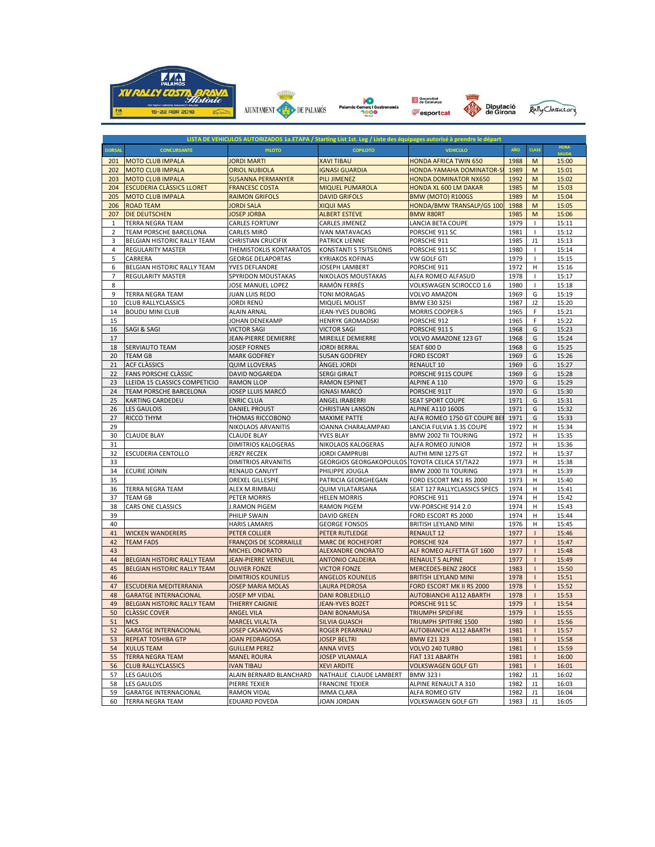

|               |                                  |                               |                                               | LISTA DE VEHICULOS AUTORIZADOS 1a.ETAPA / Starting List 1st. Leg / Liste des équipages autorisé à prendre le départ |      |                |                              |
|---------------|----------------------------------|-------------------------------|-----------------------------------------------|---------------------------------------------------------------------------------------------------------------------|------|----------------|------------------------------|
| <b>DORSAL</b> | <b>CONCURSANTE</b>               | <b>PILOTO</b>                 | <b>COPILOTO</b>                               | <b>VEHICULO</b>                                                                                                     | AÑO  | <b>CLASE</b>   | <b>HORA</b><br><b>SALIDA</b> |
| 201           | <b>MOTO CLUB IMPALA</b>          | <b>JORDI MARTI</b>            | <b>XAVI TIBAU</b>                             | <b>HONDA AFRICA TWIN 650</b>                                                                                        | 1988 | M              | 15:00                        |
| 202           | <b>MOTO CLUB IMPALA</b>          | <b>ORIOL NUBIOLA</b>          | <b>IGNASI GUARDIA</b>                         | HONDA-YAMAHA DOMINATOR-S                                                                                            | 1989 | M              | 15:01                        |
| 203           | <b>MOTO CLUB IMPALA</b>          | <b>SUSANNA PERMANYER</b>      | <b>PILI JIMENEZ</b>                           | <b>HONDA DOMINATOR NX650</b>                                                                                        | 1992 | M              | 15:02                        |
| 204           | <b>ESCUDERIA CLÀSSICS LLORET</b> | <b>FRANCESC COSTA</b>         | <b>MIQUEL PUMAROLA</b>                        | <b>HONDA XL 600 LM DAKAR</b>                                                                                        | 1985 | M              | 15:03                        |
| 205           | <b>MOTO CLUB IMPALA</b>          | <b>RAIMON GRIFOLS</b>         | <b>DAVID GRIFOLS</b>                          | BMW (MOTO) R100GS                                                                                                   | 1989 | M              | 15:04                        |
| 206           | <b>ROAD TEAM</b>                 | <b>JORDI SALA</b>             | <b>XIQUI MAS</b>                              | HONDA/BMW TRANSALP/GS 100                                                                                           | 1988 | M              | 15:05                        |
| 207           | DIE DEUTSCHEN                    | <b>JOSEP JORBA</b>            | <b>ALBERT ESTEVE</b>                          | <b>BMW R80RT</b>                                                                                                    | 1985 | M              | 15:06                        |
| 1             | TERRA NEGRA TEAM                 | <b>CARLES FORTUNY</b>         | CARLES JIMENEZ                                | LANCIA BETA COUPE                                                                                                   | 1979 |                | 15:11                        |
| 2             | TEAM PORSCHE BARCELONA           | CARLES MIRÓ                   | IVAN MATAVACAS                                | PORSCHE 911 SC                                                                                                      | 1981 | $\overline{1}$ | 15:12                        |
| 3             | BELGIAN HISTORIC RALLY TEAM      | <b>CHRISTIAN CRUCIFIX</b>     | PATRICK LIENNE                                | PORSCHE 911                                                                                                         | 1985 | J1             | 15:13                        |
| 4             | <b>REGULARITY MASTER</b>         | THEMISTOKLIS KONTARATOS       | KONSTANTI S TSITSILONIS                       | PORSCHE 911 SC                                                                                                      | 1980 | -1             | 15:14                        |
| 5             | CARRERA                          | <b>GEORGE DELAPORTAS</b>      | <b>KYRIAKOS KOFINAS</b>                       | VW GOLF GTI                                                                                                         | 1979 |                | 15:15                        |
| 6             | BELGIAN HISTORIC RALLY TEAM      | YVES DEFLANDRE                | JOSEPH LAMBERT                                | PORSCHE 911                                                                                                         | 1972 | н              | 15:16                        |
| 7             | <b>REGULARITY MASTER</b>         | SPYRIDON MOUSTAKAS            | NIKOLAOS MOUSTAKAS                            | ALFA ROMEO ALFASUD                                                                                                  | 1978 | $\mathbf{I}$   | 15:17                        |
| 8             |                                  | JOSE MANUEL LOPEZ             | RAMÓN FERRÉS                                  | VOLKSWAGEN SCIROCCO 1.6                                                                                             | 1980 | -1             | 15:18                        |
| 9             | TERRA NEGRA TEAM                 | JUAN LUIS REDO                | <b>TONI MORAGAS</b>                           | VOLVO AMAZON                                                                                                        | 1969 | G              | 15:19                        |
| 10            | CLUB RALLYCLASSICS               | JORDI RENÚ                    | <b>MIQUEL MOLIST</b>                          | <b>BMW E30 3251</b>                                                                                                 | 1987 | J2             | 15:20                        |
| 14            | <b>BOUDU MINI CLUB</b>           | <b>ALAIN ARNAL</b>            | JEAN-YVES DUBORG                              | <b>MORRIS COOPER-S</b>                                                                                              | 1965 | F              | 15:21                        |
| 15            |                                  | JOHAN DENEKAMP                | <b>HENRYK GROMADSKI</b>                       | PORSCHE 912                                                                                                         | 1965 | F              | 15:22                        |
| 16            | SAGI & SAGI                      | <b>VICTOR SAGI</b>            | <b>VICTOR SAGI</b>                            | PORSCHE 911 S                                                                                                       | 1968 | G              | 15:23                        |
| 17            |                                  | JEAN-PIERRE DEMIERRE          | MIREILLE DEMIERRE                             | VOLVO AMAZONE 123 GT                                                                                                | 1968 | G              | 15:24                        |
| 18            | SERVIAUTO TEAM                   | <b>JOSEP FORNES</b>           | <b>JORDI BERRAL</b>                           | <b>SEAT 600 D</b>                                                                                                   | 1968 | G              | 15:25                        |
| 20            | <b>TEAM GB</b>                   | <b>MARK GODFREY</b>           | <b>SUSAN GODFREY</b>                          | <b>FORD ESCORT</b>                                                                                                  | 1969 | G              | 15:26                        |
| 21            | <b>ACF CLASSICS</b>              | <b>QUIM LLOVERAS</b>          | <b>ANGEL JORDI</b>                            | RENAULT 10                                                                                                          | 1969 | G              | 15:27                        |
| 22            | FANS PORSCHE CLASSIC             | <b>DAVID NOGAREDA</b>         | <b>SERGI GIRALT</b>                           | PORSCHE 911S COUPE                                                                                                  | 1969 | G              | 15:28                        |
| 23            | LLEIDA 15 CLASSICS COMPETICIO    | <b>RAMON LLOP</b>             | <b>RAMON ESPINET</b>                          | ALPINE A 110                                                                                                        | 1970 | G              | 15:29                        |
| 24            | TEAM PORSCHE BARCELONA           | JOSEP LLUIS MARCÓ             | <b>IGNASI MARCÓ</b>                           | PORSCHE 911T                                                                                                        | 1970 | G              | 15:30                        |
| 25            | KARTING CARDEDEU                 | <b>ENRIC CLUA</b>             | ANGEL IRABERRI                                | <b>SEAT SPORT COUPE</b>                                                                                             | 1971 | G              | 15:31                        |
| 26            | <b>LES GAULOIS</b>               | <b>DANIEL PROUST</b>          | <b>CHRISTIAN LANSON</b>                       | <b>ALPINE A110 1600S</b>                                                                                            | 1971 | G              | 15:32                        |
| 27            | <b>RICCO THYM</b>                | THOMAS RICCOBONO              | <b>MAXIME PATTE</b>                           | ALFA ROMEO 1750 GT COUPE BE                                                                                         | 1971 | G              | 15:33                        |
| 29            |                                  | NIKOLAOS ARVANITIS            | IOANNA CHARALAMPAKI                           | LANCIA FULVIA 1.3S COUPE                                                                                            | 1972 | н              | 15:34                        |
| 30            | <b>CLAUDE BLAY</b>               | <b>CLAUDE BLAY</b>            | YVES BLAY                                     | BMW 2002 TII TOURING                                                                                                | 1972 | н              | 15:35                        |
| 31            |                                  | DIMITRIOS KALOGERAS           | NIKOLAOS KALOGERAS                            | ALFA ROMEO JUNIOR                                                                                                   | 1972 | Н              | 15:36                        |
| 32            | ESCUDERIA CENTOLLO               | JERZY RECZEK                  | JORDI CAMPRUBI                                | AUTHI MINI 1275 GT                                                                                                  | 1972 | н              | 15:37                        |
| 33            |                                  | DIMITRIOS ARVANITIS           | GEORGIOS GEORGAKOPOULOS TOYOTA CELICA ST/TA22 |                                                                                                                     | 1973 | н              | 15:38                        |
| 34            | <b>ECURIE JOININ</b>             | RENAUD CANUYT                 | PHILIPPE JOUGLA                               | BMW 2000 TII TOURING                                                                                                | 1973 | н              | 15:39                        |
| 35            |                                  | <b>DREXEL GILLESPIE</b>       | PATRICIA GEORGHEGAN                           | FORD ESCORT MK1 RS 2000                                                                                             | 1973 | н              | 15:40                        |
| 36            | <b>TERRA NEGRA TEAM</b>          | ALEX M.RIMBAU                 | <b>QUIM VILATARSANA</b>                       | SEAT 127 RALLYCLASSICS SPECS                                                                                        | 1974 | н              | 15:41                        |
| 37            | <b>TEAM GB</b>                   | PETER MORRIS                  | <b>HELEN MORRIS</b>                           | PORSCHE 911                                                                                                         | 1974 | н              | 15:42                        |
| 38            | CARS ONE CLASSICS                | J.RAMON PIGEM                 | <b>RAMON PIGEM</b>                            | VW-PORSCHE 914 2.0                                                                                                  | 1974 | н              | 15:43                        |
| 39            |                                  | PHILIP SWAIN                  | DAVID GREEN                                   | FORD ESCORT RS 2000                                                                                                 | 1974 | Н              | 15:44                        |
| 40            |                                  | <b>HARIS LAMARIS</b>          | <b>GEORGE FONSOS</b>                          | BRITISH LEYLAND MINI                                                                                                | 1976 | н              | 15:45                        |
| 41            | <b>WICKEN WANDERERS</b>          | PETER COLLIER                 | <b>PETER RUTLEDGE</b>                         | <b>RENAULT 12</b>                                                                                                   | 1977 | п              | 15:46                        |
| 42            | <b>TEAM FADS</b>                 | <b>FRANÇOIS DE SCORRAILLE</b> | <b>MARC DE ROCHEFORT</b>                      | PORSCHE 924                                                                                                         | 1977 | п              | 15:47                        |
| 43            |                                  | <b>MICHEL ONORATO</b>         | <b>ALEXANDRE ONORATO</b>                      | ALF ROMEO ALFETTA GT 1600                                                                                           | 1977 |                | 15:48                        |
| 44            | BELGIAN HISTORIC RALLY TEAM      | <b>JEAN-PIERRE VERNEUIL</b>   | <b>ANTONIO CALDEIRA</b>                       | <b>RENAULT 5 ALPINE</b>                                                                                             | 1977 | $\mathbf{I}$   | 15:49                        |
| 45            | BELGIAN HISTORIC RALLY TEAM      | <b>OLIVIER FONZE</b>          | <b>VICTOR FONZE</b>                           | MERCEDES-BENZ 280CE                                                                                                 | 1983 | $\mathbf{I}$   | 15:50                        |
| 46            |                                  | <b>DIMITRIOS KOUNELIS</b>     | <b>ANGELOS KOUNELIS</b>                       | <b>BRITISH LEYLAND MINI</b>                                                                                         | 1978 | т              | 15:51                        |
| 47            | <b>ESCUDERIA MEDITERRANIA</b>    | <b>JOSEP MARIA MOLAS</b>      | LAURA PEDROSA                                 | FORD ESCORT MK II RS 2000                                                                                           | 1978 |                | 15:52                        |
| 48            | <b>GARATGE INTERNACIONAL</b>     | <b>JOSEP Mª VIDAL</b>         | <b>DANI ROBLEDILLO</b>                        | <b>AUTOBIANCHI A112 ABARTH</b>                                                                                      | 1978 |                | 15:53                        |
| 49            | BELGIAN HISTORIC RALLY TEAM      | <b>THIERRY CAIGNIE</b>        | JEAN-YVES BOZET                               | PORSCHE 911 SC                                                                                                      | 1979 | $\mathbf{I}$   | 15:54                        |
| 50            | <b>CLASSIC COVER</b>             | <b>ANGEL VILA</b>             | <b>DANI BONAMUSA</b>                          | <b>TRIUMPH SPIDFIRE</b>                                                                                             | 1979 | $\mathbf{I}$   | 15:55                        |
| 51            | <b>MCS</b>                       | <b>MARCEL VILALTA</b>         | <b>SILVIA GUASCH</b>                          | <b>TRIUMPH SPITFIRE 1500</b>                                                                                        | 1980 | п              | 15:56                        |
| 52            | <b>GARATGE INTERNACIONAL</b>     | <b>JOSEP CASANOVAS</b>        | ROGER PERARNAU                                | <b>AUTOBIANCHI A112 ABARTH</b>                                                                                      | 1981 |                | 15:57                        |
| 53            | <b>REPEAT TOSHIBA GTP</b>        | JOAN PEDRAGOSA                | <b>JOSEP BELTRI</b>                           | <b>BMW E21 323</b>                                                                                                  | 1981 |                | 15:58                        |
| 54            | <b>XULUS TEAM</b>                | <b>GUILLEM PEREZ</b>          | <b>ANNA VIVES</b>                             | VOLVO 240 TURBO                                                                                                     | 1981 | т              | 15:59                        |
| 55            | <b>TERRA NEGRA TEAM</b>          | <b>MANEL ROURA</b>            | <b>JOSEP VILAMALA</b>                         | FIAT 131 ABARTH                                                                                                     | 1981 |                | 16:00                        |
| 56            | <b>CLUB RALLYCLASSICS</b>        | <b>IVAN TIBAU</b>             | <b>XEVI ARDITE</b>                            | <b>VOLKSWAGEN GOLF GTI</b>                                                                                          | 1981 |                | 16:01                        |
| 57            | <b>LES GAULOIS</b>               | ALAIN BERNARD BLANCHARD       | NATHALIE CLAUDE LAMBERT                       | <b>BMW 3231</b>                                                                                                     | 1982 | J1             | 16:02                        |
| 58            | <b>LES GAULOIS</b>               | PIERRE TEXIER                 | <b>FRANCINE TEXIER</b>                        | ALPINE RENAULT A 310                                                                                                | 1982 | J1             | 16:03                        |
| 59            | <b>GARATGE INTERNACIONAL</b>     | <b>RAMON VIDAL</b>            | <b>IMMA CLARA</b>                             | ALFA ROMEO GTV                                                                                                      | 1982 | J1             | 16:04                        |
| 60            | <b>TERRA NEGRA TEAM</b>          | <b>EDUARD POVEDA</b>          | JOAN JORDAN                                   | <b>VOLKSWAGEN GOLF GTI</b>                                                                                          | 1983 | J1             | 16:05                        |